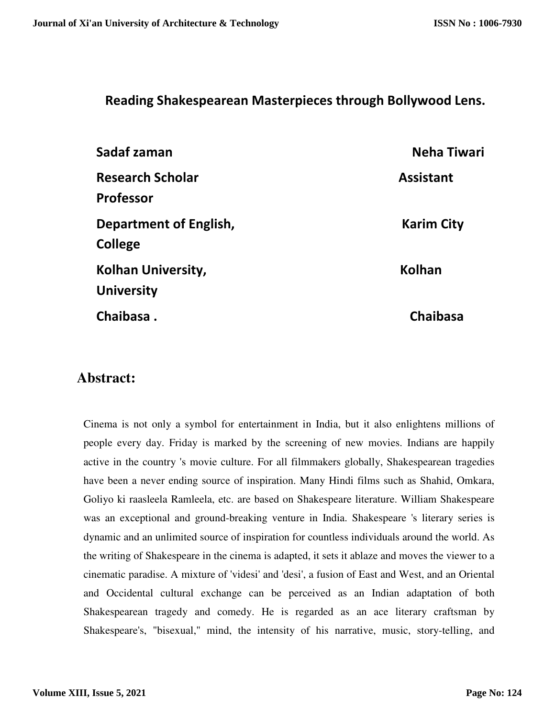## **Reading Shakespearean Masterpieces through Bollywood Lens.**

| Sadaf zaman                                    | <b>Neha Tiwari</b> |
|------------------------------------------------|--------------------|
| <b>Research Scholar</b><br><b>Professor</b>    | <b>Assistant</b>   |
| Department of English,<br><b>College</b>       | <b>Karim City</b>  |
| <b>Kolhan University,</b><br><b>University</b> | <b>Kolhan</b>      |
| Chaibasa.                                      | <b>Chaibasa</b>    |

## **Abstract:**

Cinema is not only a symbol for entertainment in India, but it also enlightens millions of people every day. Friday is marked by the screening of new movies. Indians are happily active in the country 's movie culture. For all filmmakers globally, Shakespearean tragedies have been a never ending source of inspiration. Many Hindi films such as Shahid, Omkara, Goliyo ki raasleela Ramleela, etc. are based on Shakespeare literature. William Shakespeare was an exceptional and ground-breaking venture in India. Shakespeare 's literary series is dynamic and an unlimited source of inspiration for countless individuals around the world. As the writing of Shakespeare in the cinema is adapted, it sets it ablaze and moves the viewer to a cinematic paradise. A mixture of 'videsi' and 'desi', a fusion of East and West, and an Oriental and Occidental cultural exchange can be perceived as an Indian adaptation of both Shakespearean tragedy and comedy. He is regarded as an ace literary craftsman by Shakespeare's, "bisexual," mind, the intensity of his narrative, music, story-telling, and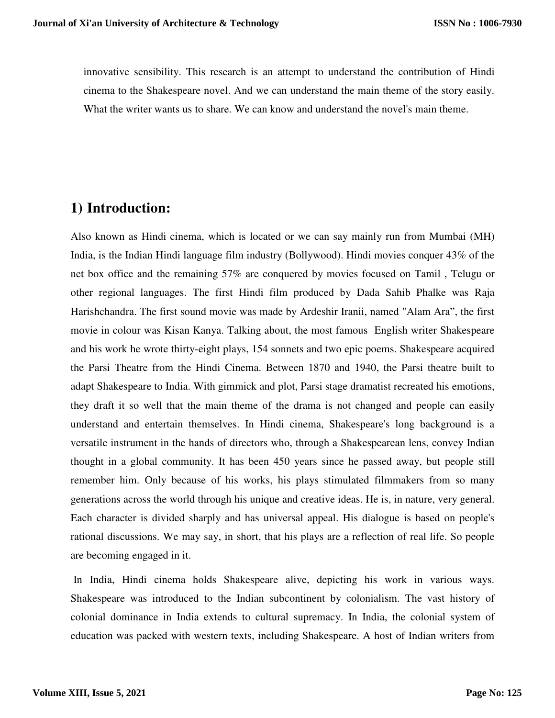innovative sensibility. This research is an attempt to understand the contribution of Hindi cinema to the Shakespeare novel. And we can understand the main theme of the story easily. What the writer wants us to share. We can know and understand the novel's main theme.

# **1) Introduction:**

Also known as Hindi cinema, which is located or we can say mainly run from Mumbai (MH) India, is the Indian Hindi language film industry (Bollywood). Hindi movies conquer 43% of the net box office and the remaining 57% are conquered by movies focused on Tamil , Telugu or other regional languages. The first Hindi film produced by Dada Sahib Phalke was Raja Harishchandra. The first sound movie was made by Ardeshir Iranii, named "Alam Ara", the first movie in colour was Kisan Kanya. Talking about, the most famous English writer Shakespeare and his work he wrote thirty-eight plays, 154 sonnets and two epic poems. Shakespeare acquired the Parsi Theatre from the Hindi Cinema. Between 1870 and 1940, the Parsi theatre built to adapt Shakespeare to India. With gimmick and plot, Parsi stage dramatist recreated his emotions, they draft it so well that the main theme of the drama is not changed and people can easily understand and entertain themselves. In Hindi cinema, Shakespeare's long background is a versatile instrument in the hands of directors who, through a Shakespearean lens, convey Indian thought in a global community. It has been 450 years since he passed away, but people still remember him. Only because of his works, his plays stimulated filmmakers from so many generations across the world through his unique and creative ideas. He is, in nature, very general. Each character is divided sharply and has universal appeal. His dialogue is based on people's rational discussions. We may say, in short, that his plays are a reflection of real life. So people are becoming engaged in it.

 In India, Hindi cinema holds Shakespeare alive, depicting his work in various ways. Shakespeare was introduced to the Indian subcontinent by colonialism. The vast history of colonial dominance in India extends to cultural supremacy. In India, the colonial system of education was packed with western texts, including Shakespeare. A host of Indian writers from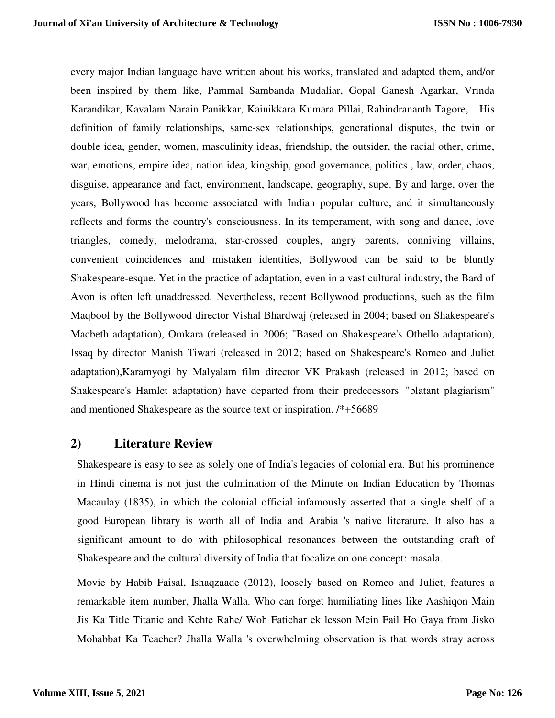every major Indian language have written about his works, translated and adapted them, and/or been inspired by them like, Pammal Sambanda Mudaliar, Gopal Ganesh Agarkar, Vrinda Karandikar, Kavalam Narain Panikkar, Kainikkara Kumara Pillai, Rabindrananth Tagore, His definition of family relationships, same-sex relationships, generational disputes, the twin or double idea, gender, women, masculinity ideas, friendship, the outsider, the racial other, crime, war, emotions, empire idea, nation idea, kingship, good governance, politics , law, order, chaos, disguise, appearance and fact, environment, landscape, geography, supe. By and large, over the years, Bollywood has become associated with Indian popular culture, and it simultaneously reflects and forms the country's consciousness. In its temperament, with song and dance, love triangles, comedy, melodrama, star-crossed couples, angry parents, conniving villains, convenient coincidences and mistaken identities, Bollywood can be said to be bluntly Shakespeare-esque. Yet in the practice of adaptation, even in a vast cultural industry, the Bard of Avon is often left unaddressed. Nevertheless, recent Bollywood productions, such as the film Maqbool by the Bollywood director Vishal Bhardwaj (released in 2004; based on Shakespeare's Macbeth adaptation), Omkara (released in 2006; "Based on Shakespeare's Othello adaptation), Issaq by director Manish Tiwari (released in 2012; based on Shakespeare's Romeo and Juliet adaptation),Karamyogi by Malyalam film director VK Prakash (released in 2012; based on Shakespeare's Hamlet adaptation) have departed from their predecessors' "blatant plagiarism" and mentioned Shakespeare as the source text or inspiration. /\*+56689

#### **2) Literature Review**

Shakespeare is easy to see as solely one of India's legacies of colonial era. But his prominence in Hindi cinema is not just the culmination of the Minute on Indian Education by Thomas Macaulay (1835), in which the colonial official infamously asserted that a single shelf of a good European library is worth all of India and Arabia 's native literature. It also has a significant amount to do with philosophical resonances between the outstanding craft of Shakespeare and the cultural diversity of India that focalize on one concept: masala.

Movie by Habib Faisal, Ishaqzaade (2012), loosely based on Romeo and Juliet, features a remarkable item number, Jhalla Walla. Who can forget humiliating lines like Aashiqon Main Jis Ka Title Titanic and Kehte Rahe/ Woh Fatichar ek lesson Mein Fail Ho Gaya from Jisko Mohabbat Ka Teacher? Jhalla Walla 's overwhelming observation is that words stray across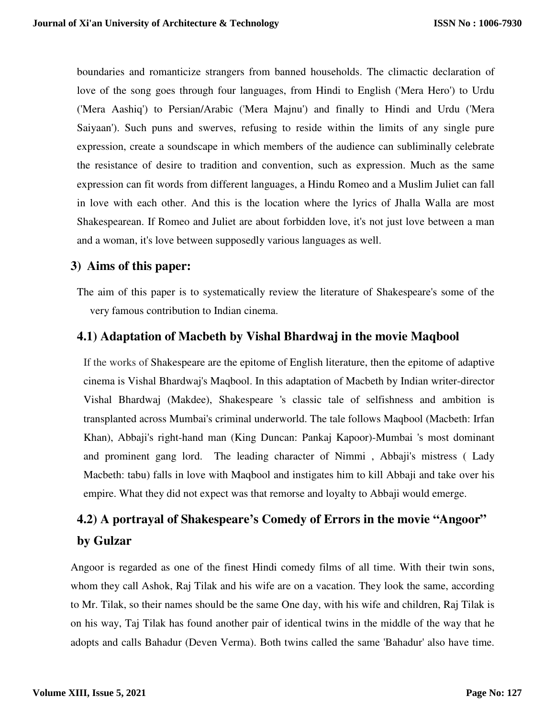boundaries and romanticize strangers from banned households. The climactic declaration of love of the song goes through four languages, from Hindi to English ('Mera Hero') to Urdu ('Mera Aashiq') to Persian/Arabic ('Mera Majnu') and finally to Hindi and Urdu ('Mera Saiyaan'). Such puns and swerves, refusing to reside within the limits of any single pure expression, create a soundscape in which members of the audience can subliminally celebrate the resistance of desire to tradition and convention, such as expression. Much as the same expression can fit words from different languages, a Hindu Romeo and a Muslim Juliet can fall in love with each other. And this is the location where the lyrics of Jhalla Walla are most Shakespearean. If Romeo and Juliet are about forbidden love, it's not just love between a man and a woman, it's love between supposedly various languages as well.

### **3) Aims of this paper:**

The aim of this paper is to systematically review the literature of Shakespeare's some of the very famous contribution to Indian cinema.

### **4.1) Adaptation of Macbeth by Vishal Bhardwaj in the movie Maqbool**

If the works of Shakespeare are the epitome of English literature, then the epitome of adaptive cinema is Vishal Bhardwaj's Maqbool. In this adaptation of Macbeth by Indian writer-director Vishal Bhardwaj (Makdee), Shakespeare 's classic tale of selfishness and ambition is transplanted across Mumbai's criminal underworld. The tale follows Maqbool (Macbeth: Irfan Khan), Abbaji's right-hand man (King Duncan: Pankaj Kapoor)-Mumbai 's most dominant and prominent gang lord. The leading character of Nimmi , Abbaji's mistress ( Lady Macbeth: tabu) falls in love with Maqbool and instigates him to kill Abbaji and take over his empire. What they did not expect was that remorse and loyalty to Abbaji would emerge.

# **4.2) A portrayal of Shakespeare's Comedy of Errors in the movie "Angoor" by Gulzar**

Angoor is regarded as one of the finest Hindi comedy films of all time. With their twin sons, whom they call Ashok, Raj Tilak and his wife are on a vacation. They look the same, according to Mr. Tilak, so their names should be the same One day, with his wife and children, Raj Tilak is on his way, Taj Tilak has found another pair of identical twins in the middle of the way that he adopts and calls Bahadur (Deven Verma). Both twins called the same 'Bahadur' also have time.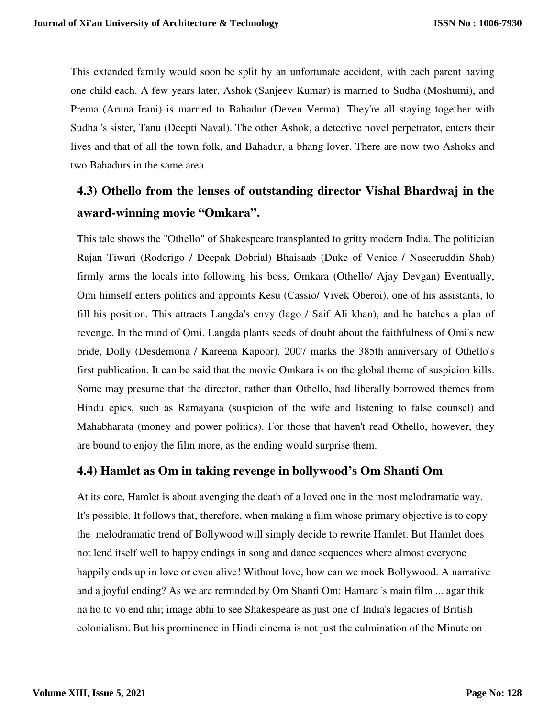This extended family would soon be split by an unfortunate accident, with each parent having one child each. A few years later, Ashok (Sanjeev Kumar) is married to Sudha (Moshumi), and Prema (Aruna Irani) is married to Bahadur (Deven Verma). They're all staying together with Sudha 's sister, Tanu (Deepti Naval). The other Ashok, a detective novel perpetrator, enters their lives and that of all the town folk, and Bahadur, a bhang lover. There are now two Ashoks and two Bahadurs in the same area.

# **4.3) Othello from the lenses of outstanding director Vishal Bhardwaj in the award-winning movie "Omkara".**

This tale shows the "Othello" of Shakespeare transplanted to gritty modern India. The politician Rajan Tiwari (Roderigo / Deepak Dobrial) Bhaisaab (Duke of Venice / Naseeruddin Shah) firmly arms the locals into following his boss, Omkara (Othello/ Ajay Devgan) Eventually, Omi himself enters politics and appoints Kesu (Cassio/ Vivek Oberoi), one of his assistants, to fill his position. This attracts Langda's envy (lago / Saif Ali khan), and he hatches a plan of revenge. In the mind of Omi, Langda plants seeds of doubt about the faithfulness of Omi's new bride, Dolly (Desdemona / Kareena Kapoor). 2007 marks the 385th anniversary of Othello's first publication. It can be said that the movie Omkara is on the global theme of suspicion kills. Some may presume that the director, rather than Othello, had liberally borrowed themes from Hindu epics, such as Ramayana (suspicion of the wife and listening to false counsel) and Mahabharata (money and power politics). For those that haven't read Othello, however, they are bound to enjoy the film more, as the ending would surprise them.

### **4.4) Hamlet as Om in taking revenge in bollywood's Om Shanti Om**

At its core, Hamlet is about avenging the death of a loved one in the most melodramatic way. It's possible. It follows that, therefore, when making a film whose primary objective is to copy the melodramatic trend of Bollywood will simply decide to rewrite Hamlet. But Hamlet does not lend itself well to happy endings in song and dance sequences where almost everyone happily ends up in love or even alive! Without love, how can we mock Bollywood. A narrative and a joyful ending? As we are reminded by Om Shanti Om: Hamare 's main film ... agar thik na ho to vo end nhi; image abhi to see Shakespeare as just one of India's legacies of British colonialism. But his prominence in Hindi cinema is not just the culmination of the Minute on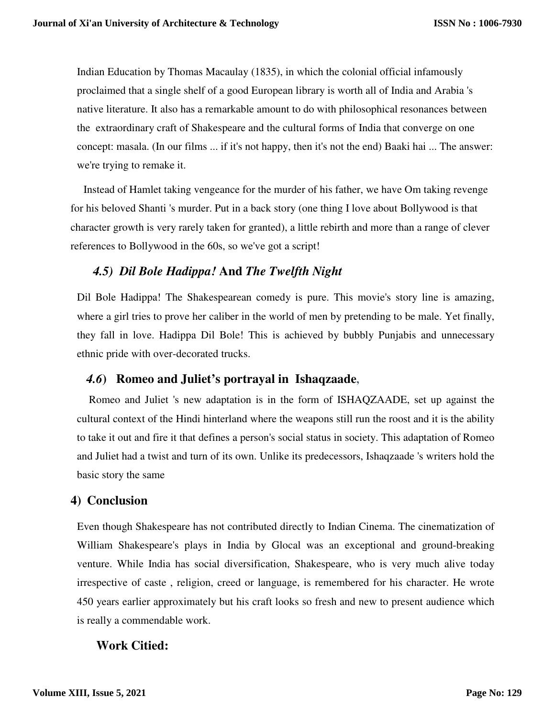Indian Education by Thomas Macaulay (1835), in which the colonial official infamously proclaimed that a single shelf of a good European library is worth all of India and Arabia 's native literature. It also has a remarkable amount to do with philosophical resonances between the extraordinary craft of Shakespeare and the cultural forms of India that converge on one concept: masala. (In our films ... if it's not happy, then it's not the end) Baaki hai ... The answer: we're trying to remake it.

Instead of Hamlet taking vengeance for the murder of his father, we have Om taking revenge for his beloved Shanti 's murder. Put in a back story (one thing I love about Bollywood is that character growth is very rarely taken for granted), a little rebirth and more than a range of clever references to Bollywood in the 60s, so we've got a script!

### *4.5) Dil Bole Hadippa!* **And** *The Twelfth Night*

Dil Bole Hadippa! The Shakespearean comedy is pure. This movie's story line is amazing, where a girl tries to prove her caliber in the world of men by pretending to be male. Yet finally, they fall in love. Hadippa Dil Bole! This is achieved by bubbly Punjabis and unnecessary ethnic pride with over-decorated trucks.

### *4.6***) Romeo and Juliet's portrayal in Ishaqzaade,**

 Romeo and Juliet 's new adaptation is in the form of ISHAQZAADE, set up against the cultural context of the Hindi hinterland where the weapons still run the roost and it is the ability to take it out and fire it that defines a person's social status in society. This adaptation of Romeo and Juliet had a twist and turn of its own. Unlike its predecessors, Ishaqzaade 's writers hold the basic story the same

### **4) Conclusion**

Even though Shakespeare has not contributed directly to Indian Cinema. The cinematization of William Shakespeare's plays in India by Glocal was an exceptional and ground-breaking venture. While India has social diversification, Shakespeare, who is very much alive today irrespective of caste , religion, creed or language, is remembered for his character. He wrote 450 years earlier approximately but his craft looks so fresh and new to present audience which is really a commendable work.

### **Work Citied:**